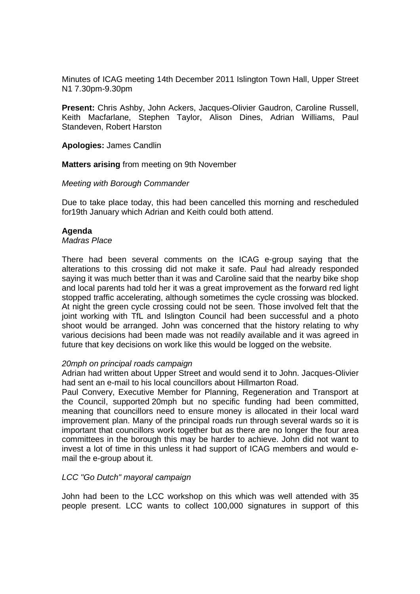Minutes of ICAG meeting 14th December 2011 Islington Town Hall, Upper Street N1 7.30pm-9.30pm

**Present:** Chris Ashby, John Ackers, Jacques-Olivier Gaudron, Caroline Russell, Keith Macfarlane, Stephen Taylor, Alison Dines, Adrian Williams, Paul Standeven, Robert Harston

**Apologies:** James Candlin

**Matters arising** from meeting on 9th November

#### Meeting with Borough Commander

Due to take place today, this had been cancelled this morning and rescheduled for19th January which Adrian and Keith could both attend.

#### **Agenda**

## Madras Place

There had been several comments on the ICAG e-group saying that the alterations to this crossing did not make it safe. Paul had already responded saying it was much better than it was and Caroline said that the nearby bike shop and local parents had told her it was a great improvement as the forward red light stopped traffic accelerating, although sometimes the cycle crossing was blocked. At night the green cycle crossing could not be seen. Those involved felt that the joint working with TfL and Islington Council had been successful and a photo shoot would be arranged. John was concerned that the history relating to why various decisions had been made was not readily available and it was agreed in future that key decisions on work like this would be logged on the website.

#### 20mph on principal roads campaign

Adrian had written about Upper Street and would send it to John. Jacques-Olivier had sent an e-mail to his local councillors about Hillmarton Road.

Paul Convery, Executive Member for Planning, Regeneration and Transport at the Council, supported 20mph but no specific funding had been committed, meaning that councillors need to ensure money is allocated in their local ward improvement plan. Many of the principal roads run through several wards so it is important that councillors work together but as there are no longer the four area committees in the borough this may be harder to achieve. John did not want to invest a lot of time in this unless it had support of ICAG members and would email the e-group about it.

## LCC "Go Dutch" mayoral campaign

John had been to the LCC workshop on this which was well attended with 35 people present. LCC wants to collect 100,000 signatures in support of this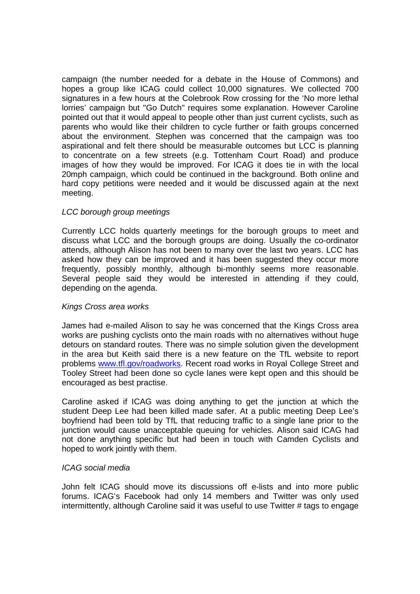campaign (the number needed for a debate in the House of Commons) and hopes a group like ICAG could collect 10,000 signatures. We collected 700 signatures in a few hours at the Colebrook Row crossing for the 'No more lethal lorries' campaign but "Go Dutch" requires some explanation. However Caroline pointed out that it would appeal to people other than just current cyclists, such as parents who would like their children to cycle further or faith groups concerned about the environment. Stephen was concerned that the campaign was too aspirational and felt there should be measurable outcomes but LCC is planning to concentrate on a few streets (e.g. Tottenham Court Road) and produce images of how they would be improved. For ICAG it does tie in with the local 20mph campaign, which could be continued in the background. Both online and hard copy petitions were needed and it would be discussed again at the next meeting.

# LCC borough group meetings

Currently LCC holds quarterly meetings for the borough groups to meet and discuss what LCC and the borough groups are doing. Usually the co-ordinator attends, although Alison has not been to many over the last two years. LCC has asked how they can be improved and it has been suggested they occur more frequently, possibly monthly, although bi-monthly seems more reasonable. Several people said they would be interested in attending if they could, depending on the agenda.

## Kings Cross area works

James had e-mailed Alison to say he was concerned that the Kings Cross area works are pushing cyclists onto the main roads with no alternatives without huge detours on standard routes. There was no simple solution given the development in the area but Keith said there is a new feature on the TfL website to report problems www.tfl.gov/roadworks. Recent road works in Royal College Street and Tooley Street had been done so cycle lanes were kept open and this should be encouraged as best practise.

Caroline asked if ICAG was doing anything to get the junction at which the student Deep Lee had been killed made safer. At a public meeting Deep Lee's boyfriend had been told by TfL that reducing traffic to a single lane prior to the junction would cause unacceptable queuing for vehicles. Alison said ICAG had not done anything specific but had been in touch with Camden Cyclists and hoped to work jointly with them.

## ICAG social media

John felt ICAG should move its discussions off e-lists and into more public forums. ICAG's Facebook had only 14 members and Twitter was only used intermittently, although Caroline said it was useful to use Twitter # tags to engage